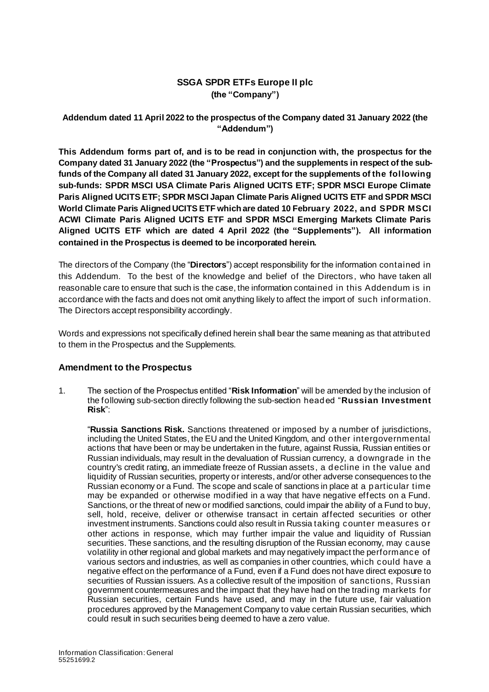## **SSGA SPDR ETFs Europe II plc (the "Company")**

## **Addendum dated 11 April 2022 to the prospectus of the Company dated 31 January 2022 (the "Addendum")**

**This Addendum forms part of, and is to be read in conjunction with, the prospectus for the Company dated 31 January 2022 (the "Prospectus") and the supplements in respect of the subfunds of the Company all dated 31 January 2022, except for the supplements of the following sub-funds: SPDR MSCI USA Climate Paris Aligned UCITS ETF; SPDR MSCI Europe Climate Paris Aligned UCITS ETF; SPDR MSCI Japan Climate Paris Aligned UCITS ETF and SPDR MSCI World Climate Paris Aligned UCITS ETF which are dated 10 February 2022, and SPDR MSCI ACWI Climate Paris Aligned UCITS ETF and SPDR MSCI Emerging Markets Climate Paris Aligned UCITS ETF which are dated 4 April 2022 (the "Supplements"). All information contained in the Prospectus is deemed to be incorporated herein.**

The directors of the Company (the "**Directors**") accept responsibility for the information contained in this Addendum. To the best of the knowledge and belief of the Directors , who have taken all reasonable care to ensure that such is the case, the information contained in this Addendum is in accordance with the facts and does not omit anything likely to affect the import of such information. The Directors accept responsibility accordingly.

Words and expressions not specifically defined herein shall bear the same meaning as that attributed to them in the Prospectus and the Supplements.

## **Amendment to the Prospectus**

1. The section of the Prospectus entitled "**Risk Information**" will be amended by the inclusion of the following sub-section directly following the sub-section headed "**Russian Investment Risk**":

"**Russia Sanctions Risk.** Sanctions threatened or imposed by a number of jurisdictions, including the United States, the EU and the United Kingdom, and other intergovernmental actions that have been or may be undertaken in the future, against Russia, Russian entities or Russian individuals, may result in the devaluation of Russian currency, a downgrade in the country's credit rating, an immediate freeze of Russian assets, a decline in the value and liquidity of Russian securities, property or interests, and/or other adverse consequences to the Russian economy or a Fund. The scope and scale of sanctions in place at a particular time may be expanded or otherwise modified in a way that have negative effects on a Fund. Sanctions, or the threat of new or modified sanctions, could impair the ability of a Fund to buy, sell, hold, receive, deliver or otherwise transact in certain affected securities or other investment instruments. Sanctions could also result in Russia taking counter measures or other actions in response, which may further impair the value and liquidity of Russian securities. These sanctions, and the resulting disruption of the Russian economy, may cause volatility in other regional and global markets and may negatively impact the performance of various sectors and industries, as well as companies in other countries, which could have a negative effect on the performance of a Fund, even if a Fund does not have direct exposure to securities of Russian issuers. As a collective result of the imposition of sanctions, Russian government countermeasures and the impact that they have had on the trading markets for Russian securities, certain Funds have used, and may in the future use, fair valuation procedures approved by the Management Company to value certain Russian securities, which could result in such securities being deemed to have a zero value.